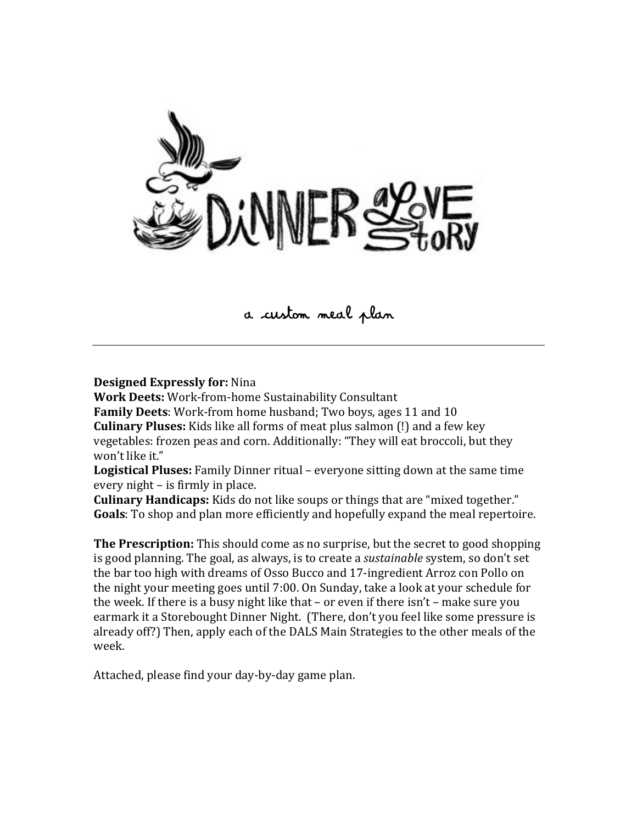

# a custom meal plan

**Designed Expressly for: Nina** 

**Work Deets: Work-from-home Sustainability Consultant** 

**Family Deets:** Work-from home husband; Two boys, ages 11 and 10 **Culinary Pluses:** Kids like all forms of meat plus salmon (!) and a few key vegetables: frozen peas and corn. Additionally: "They will eat broccoli, but they won't like it."

**Logistical Pluses:** Family Dinner ritual – everyone sitting down at the same time every night – is firmly in place.

**Culinary Handicaps:** Kids do not like soups or things that are "mixed together." **Goals**: To shop and plan more efficiently and hopefully expand the meal repertoire.

**The Prescription:** This should come as no surprise, but the secret to good shopping is good planning. The goal, as always, is to create a *sustainable* system, so don't set the bar too high with dreams of Osso Bucco and 17-ingredient Arroz con Pollo on the night your meeting goes until 7:00. On Sunday, take a look at your schedule for the week. If there is a busy night like that – or even if there  $\text{isn't}$  – make sure you earmark it a Storebought Dinner Night. (There, don't you feel like some pressure is already off?) Then, apply each of the DALS Main Strategies to the other meals of the week.

Attached, please find your day-by-day game plan.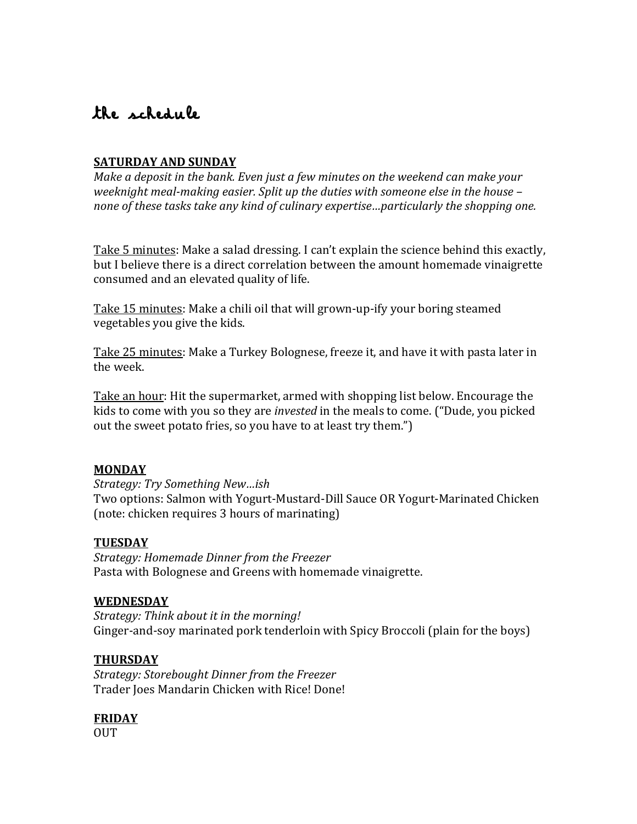# the schedule

# **SATURDAY AND SUNDAY**

*Make a deposit in the bank. Even just a few minutes on the weekend can make your weeknight meal-making easier. Split up the duties with someone else in the house – none of these tasks take any kind of culinary expertise…particularly the shopping one.* 

Take 5 minutes: Make a salad dressing. I can't explain the science behind this exactly, but I believe there is a direct correlation between the amount homemade vinaigrette consumed and an elevated quality of life.

Take 15 minutes: Make a chili oil that will grown-up-ify your boring steamed vegetables you give the kids.

Take 25 minutes: Make a Turkey Bolognese, freeze it, and have it with pasta later in the week.

Take an hour: Hit the supermarket, armed with shopping list below. Encourage the kids to come with you so they are *invested* in the meals to come. ("Dude, you picked out the sweet potato fries, so you have to at least try them.")

## **MONDAY**

*Strategy:,Try,Something,New…ish* Two options: Salmon with Yogurt-Mustard-Dill Sauce OR Yogurt-Marinated Chicken (note: chicken requires 3 hours of marinating)

## **TUESDAY**

*Strategy:,Homemade,Dinner,from,the,Freezer* Pasta with Bolognese and Greens with homemade vinaigrette.

#### **WEDNESDAY**

*Strategy: Think about it in the morning!* Ginger-and-soy marinated pork tenderloin with Spicy Broccoli (plain for the boys)

## **THURSDAY**

Strategy: Storebought Dinner from the Freezer Trader Joes Mandarin Chicken with Rice! Done!

## **FRIDAY**

OUT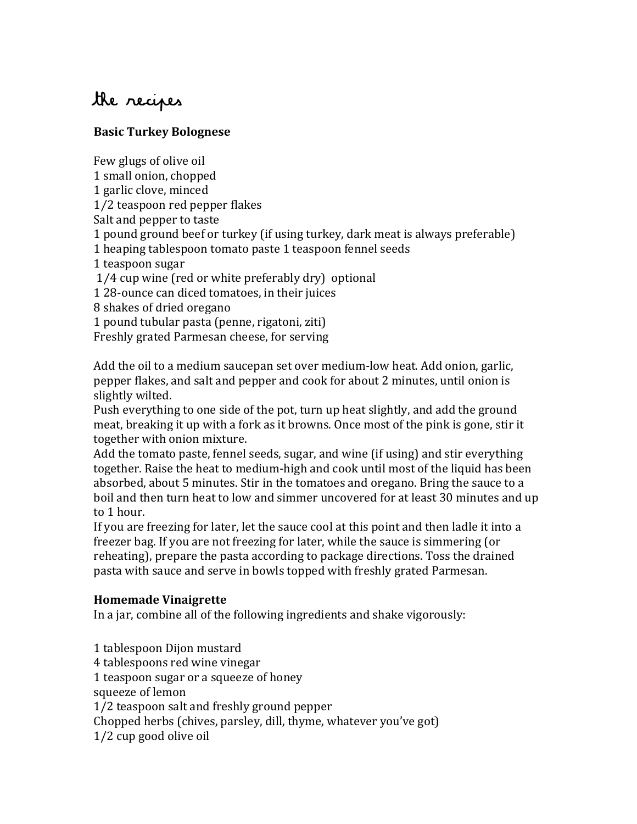# the recipes

# **Basic!Turkey!Bolognese**

Few glugs of olive oil 1 small onion, chopped 1 garlic clove, minced 1/2 teaspoon red pepper flakes Salt and pepper to taste 1 pound ground beef or turkey (if using turkey, dark meat is always preferable) 1 heaping tablespoon tomato paste 1 teaspoon fennel seeds 1 teaspoon sugar  $1/4$  cup wine (red or white preferably dry) optional 1 28-ounce can diced tomatoes, in their juices 8 shakes of dried oregano 1 pound tubular pasta (penne, rigatoni, ziti) Freshly grated Parmesan cheese, for serving Add the oil to a medium saucepan set over medium-low heat. Add onion, garlic,

pepper flakes, and salt and pepper and cook for about 2 minutes, until onion is slightly wilted.

Push everything to one side of the pot, turn up heat slightly, and add the ground meat, breaking it up with a fork as it browns. Once most of the pink is gone, stir it together with onion mixture.

Add the tomato paste, fennel seeds, sugar, and wine (if using) and stir everything together. Raise the heat to medium-high and cook until most of the liquid has been absorbed, about 5 minutes. Stir in the tomatoes and oregano. Bring the sauce to a boil and then turn heat to low and simmer uncovered for at least 30 minutes and up to 1 hour.

If you are freezing for later, let the sauce cool at this point and then ladle it into a freezer bag. If you are not freezing for later, while the sauce is simmering (or reheating), prepare the pasta according to package directions. Toss the drained pasta with sauce and serve in bowls topped with freshly grated Parmesan.

# **Homemade!Vinaigrette**

In a jar, combine all of the following ingredients and shake vigorously:

1 tablespoon Dijon mustard 4 tablespoons red wine vinegar 1 teaspoon sugar or a squeeze of honey squeeze of lemon 1/2 teaspoon salt and freshly ground pepper Chopped herbs (chives, parsley, dill, thyme, whatever you've got)  $1/2$  cup good olive oil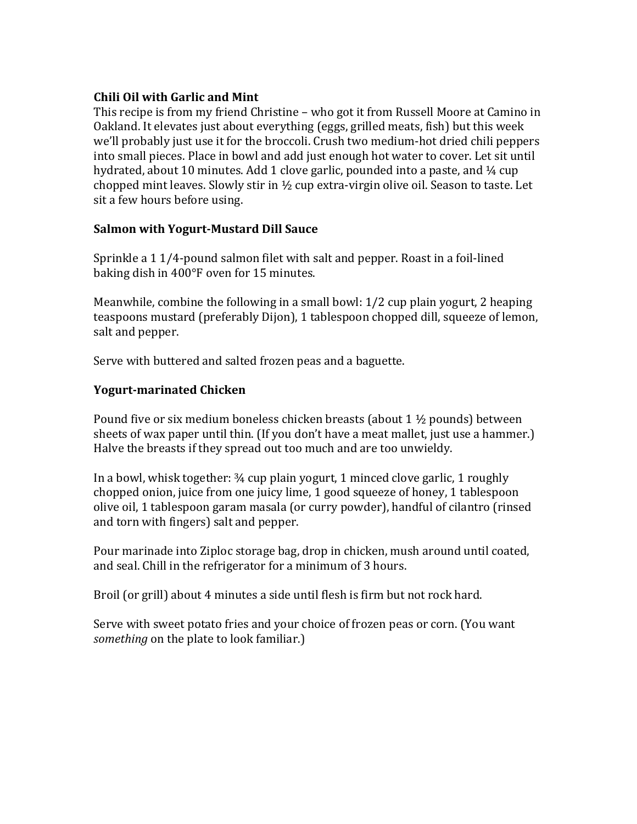## **Chili Oil with Garlic and Mint**

This recipe is from my friend Christine – who got it from Russell Moore at Camino in Oakland. It elevates just about everything (eggs, grilled meats, fish) but this week we'll probably just use it for the broccoli. Crush two medium-hot dried chili peppers into small pieces. Place in bowl and add just enough hot water to cover. Let sit until hydrated, about 10 minutes. Add 1 clove garlic, pounded into a paste, and  $\frac{1}{4}$  cup chopped mint leaves. Slowly stir in  $\frac{1}{2}$  cup extra-virgin olive oil. Season to taste. Let sit a few hours before using.

# **Salmon with Yogurt-Mustard Dill Sauce**

Sprinkle a  $1 \frac{1}{4}$ -pound salmon filet with salt and pepper. Roast in a foil-lined baking dish in 400°F oven for 15 minutes.

Meanwhile, combine the following in a small bowl:  $1/2$  cup plain yogurt, 2 heaping teaspoons mustard (preferably Dijon), 1 tablespoon chopped dill, squeeze of lemon, salt and pepper.

Serve with buttered and salted frozen peas and a baguette.

# **Yogurt-marinated Chicken**

Pound five or six medium boneless chicken breasts (about 1  $\frac{1}{2}$  pounds) between sheets of wax paper until thin. (If you don't have a meat mallet, just use a hammer.) Halve the breasts if they spread out too much and are too unwieldy.

In a bowl, whisk together:  $\frac{3}{4}$  cup plain yogurt, 1 minced clove garlic, 1 roughly chopped onion, juice from one juicy lime, 1 good squeeze of honey, 1 tablespoon olive oil, 1 tablespoon garam masala (or curry powder), handful of cilantro (rinsed and torn with fingers) salt and pepper.

Pour marinade into Ziploc storage bag, drop in chicken, mush around until coated, and seal. Chill in the refrigerator for a minimum of 3 hours.

Broil (or grill) about 4 minutes a side until flesh is firm but not rock hard.

Serve with sweet potato fries and your choice of frozen peas or corn. (You want *something* on the plate to look familiar.)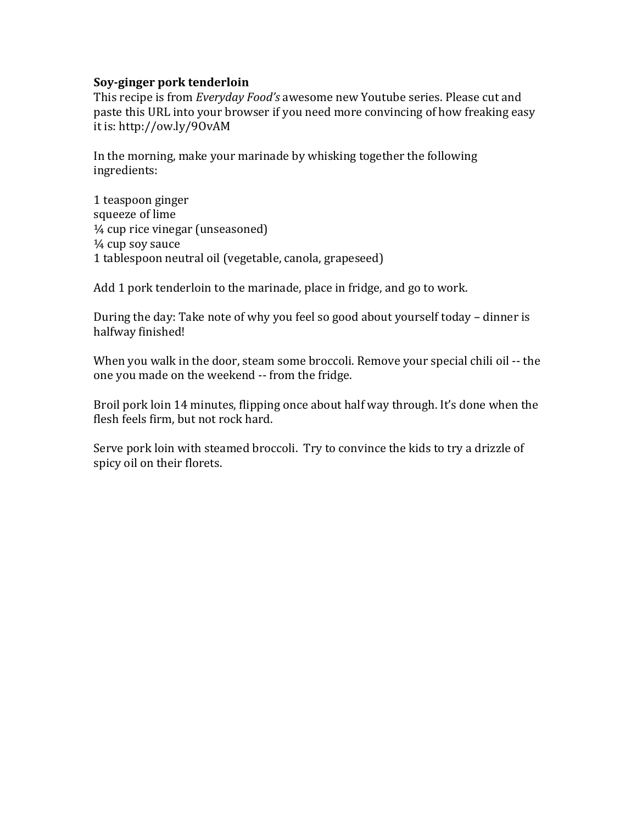#### **Soy-ginger pork tenderloin**

This recipe is from *Everyday Food's* awesome new Youtube series. Please cut and paste this URL into your browser if you need more convincing of how freaking easy it is: http://ow.ly/90vAM

In the morning, make your marinade by whisking together the following ingredients:

1 teaspoon ginger squeeze of lime  $\frac{1}{4}$  cup rice vinegar (unseasoned)  $\frac{1}{4}$  cup soy sauce 1 tablespoon neutral oil (vegetable, canola, grapeseed)

Add 1 pork tenderloin to the marinade, place in fridge, and go to work.

During the day: Take note of why you feel so good about yourself today – dinner is halfway finished!

When you walk in the door, steam some broccoli. Remove your special chili oil -- the one you made on the weekend -- from the fridge.

Broil pork loin 14 minutes, flipping once about half way through. It's done when the flesh feels firm, but not rock hard.

Serve pork loin with steamed broccoli. Try to convince the kids to try a drizzle of spicy oil on their florets.